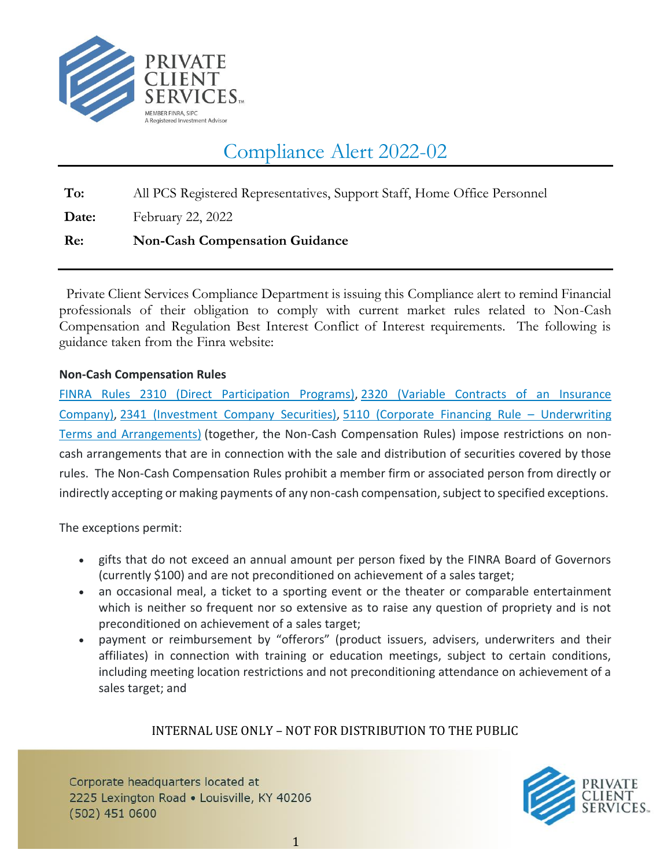

# Compliance Alert 2022-02

**To:** All PCS Registered Representatives, Support Staff, Home Office Personnel

**Date:** February 22, 2022

## **Re: Non-Cash Compensation Guidance**

 Private Client Services Compliance Department is issuing this Compliance alert to remind Financial professionals of their obligation to comply with current market rules related to Non-Cash Compensation and Regulation Best Interest Conflict of Interest requirements. The following is guidance taken from the Finra website:

### **Non-Cash Compensation Rules**

[FINRA Rules 2310 \(Direct Participation Programs\),](https://www.finra.org/rules-guidance/rulebooks/finra-rules/2310) [2320 \(Variable Contracts of an Insurance](https://www.finra.org/rules-guidance/rulebooks/finra-rules/2320)  [Company\),](https://www.finra.org/rules-guidance/rulebooks/finra-rules/2320) [2341 \(Investment Company Securities\),](https://www.finra.org/rules-guidance/rulebooks/finra-rules/2341) [5110 \(Corporate Financing Rule](https://www.finra.org/rules-guidance/rulebooks/finra-rules/5110) – Underwriting [Terms and Arrangements\)](https://www.finra.org/rules-guidance/rulebooks/finra-rules/5110) (together, the Non-Cash Compensation Rules) impose restrictions on noncash arrangements that are in connection with the sale and distribution of securities covered by those rules. The Non-Cash Compensation Rules prohibit a member firm or associated person from directly or indirectly accepting or making payments of any non-cash compensation, subject to specified exceptions.

The exceptions permit:

- gifts that do not exceed an annual amount per person fixed by the FINRA Board of Governors (currently \$100) and are not preconditioned on achievement of a sales target;
- an occasional meal, a ticket to a sporting event or the theater or comparable entertainment which is neither so frequent nor so extensive as to raise any question of propriety and is not preconditioned on achievement of a sales target;
- payment or reimbursement by "offerors" (product issuers, advisers, underwriters and their affiliates) in connection with training or education meetings, subject to certain conditions, including meeting location restrictions and not preconditioning attendance on achievement of a sales target; and

## INTERNAL USE ONLY – NOT FOR DISTRIBUTION TO THE PUBLIC

Corporate headquarters located at 2225 Lexington Road . Louisville, KY 40206  $(502)$  451 0600